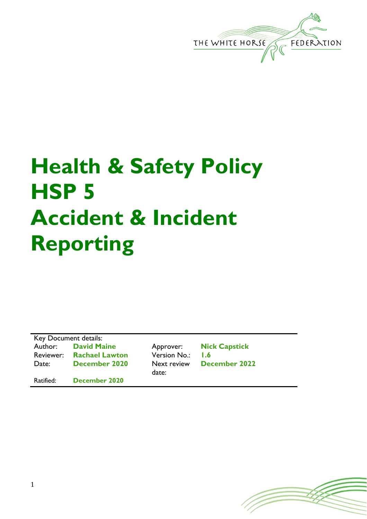

## **Health & Safety Policy HSP 5 Accident & Incident Reporting**

Key Document details: Author: **David Maine** Approver: **Nick Capstick** Reviewer: **Rachael Lawton** Version No.: **1.6** Date: **December 2020** Next review

date:

**December 2022**

Ratified: **December 2020**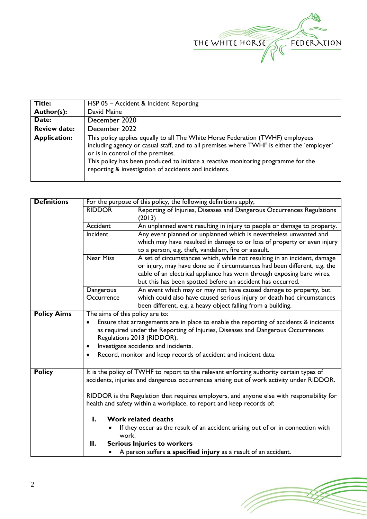

| <b>Title:</b>       | HSP 05 - Accident & Incident Reporting                                                                                                                                                                                                                                                                                                                         |  |
|---------------------|----------------------------------------------------------------------------------------------------------------------------------------------------------------------------------------------------------------------------------------------------------------------------------------------------------------------------------------------------------------|--|
| Author(s):          | David Maine                                                                                                                                                                                                                                                                                                                                                    |  |
| Date:               | December 2020                                                                                                                                                                                                                                                                                                                                                  |  |
| <b>Review date:</b> | December 2022                                                                                                                                                                                                                                                                                                                                                  |  |
| <b>Application:</b> | This policy applies equally to all The White Horse Federation (TWHF) employees<br>including agency or casual staff, and to all premises where TWHF is either the 'employer'<br>or is in control of the premises.<br>This policy has been produced to initiate a reactive monitoring programme for the<br>reporting & investigation of accidents and incidents. |  |

| <b>Definitions</b> | For the purpose of this policy, the following definitions apply;                          |                                                                                                                                      |  |  |  |
|--------------------|-------------------------------------------------------------------------------------------|--------------------------------------------------------------------------------------------------------------------------------------|--|--|--|
|                    | Reporting of Injuries, Diseases and Dangerous Occurrences Regulations<br><b>RIDDOR</b>    |                                                                                                                                      |  |  |  |
|                    |                                                                                           | (2013)                                                                                                                               |  |  |  |
|                    | Accident                                                                                  | An unplanned event resulting in injury to people or damage to property.                                                              |  |  |  |
|                    | Incident                                                                                  | Any event planned or unplanned which is nevertheless unwanted and                                                                    |  |  |  |
|                    |                                                                                           | which may have resulted in damage to or loss of property or even injury                                                              |  |  |  |
|                    |                                                                                           | to a person, e.g. theft, vandalism, fire or assault.                                                                                 |  |  |  |
|                    | <b>Near Miss</b>                                                                          | A set of circumstances which, while not resulting in an incident, damage                                                             |  |  |  |
|                    |                                                                                           | or injury, may have done so if circumstances had been different, e.g. the                                                            |  |  |  |
|                    |                                                                                           | cable of an electrical appliance has worn through exposing bare wires,<br>but this has been spotted before an accident has occurred. |  |  |  |
|                    | Dangerous                                                                                 | An event which may or may not have caused damage to property, but                                                                    |  |  |  |
|                    | Occurrence                                                                                | which could also have caused serious injury or death had circumstances                                                               |  |  |  |
|                    |                                                                                           | been different, e.g. a heavy object falling from a building.                                                                         |  |  |  |
| <b>Policy Aims</b> | The aims of this policy are to:                                                           |                                                                                                                                      |  |  |  |
|                    | Ensure that arrangements are in place to enable the reporting of accidents & incidents    |                                                                                                                                      |  |  |  |
|                    | as required under the Reporting of Injuries, Diseases and Dangerous Occurrences           |                                                                                                                                      |  |  |  |
|                    | Regulations 2013 (RIDDOR).                                                                |                                                                                                                                      |  |  |  |
|                    | Investigate accidents and incidents.<br>$\bullet$                                         |                                                                                                                                      |  |  |  |
|                    |                                                                                           | Record, monitor and keep records of accident and incident data.                                                                      |  |  |  |
|                    |                                                                                           |                                                                                                                                      |  |  |  |
| <b>Policy</b>      |                                                                                           | It is the policy of TWHF to report to the relevant enforcing authority certain types of                                              |  |  |  |
|                    | accidents, injuries and dangerous occurrences arising out of work activity under RIDDOR.  |                                                                                                                                      |  |  |  |
|                    | RIDDOR is the Regulation that requires employers, and anyone else with responsibility for |                                                                                                                                      |  |  |  |
|                    | health and safety within a workplace, to report and keep records of:                      |                                                                                                                                      |  |  |  |
|                    |                                                                                           |                                                                                                                                      |  |  |  |
|                    | <b>Work related deaths</b><br>L                                                           |                                                                                                                                      |  |  |  |
|                    | If they occur as the result of an accident arising out of or in connection with           |                                                                                                                                      |  |  |  |
|                    | work.                                                                                     |                                                                                                                                      |  |  |  |
|                    | <b>Serious Injuries to workers</b><br>П.                                                  |                                                                                                                                      |  |  |  |
|                    | A person suffers a specified injury as a result of an accident.                           |                                                                                                                                      |  |  |  |

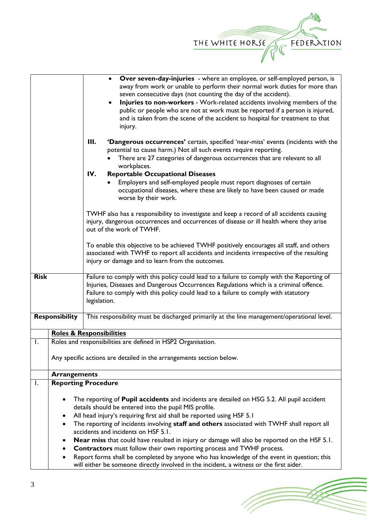

|                                                                                         |                                                                                                                                                 | Over seven-day-injuries - where an employee, or self-employed person, is<br>$\bullet$               |  |  |
|-----------------------------------------------------------------------------------------|-------------------------------------------------------------------------------------------------------------------------------------------------|-----------------------------------------------------------------------------------------------------|--|--|
|                                                                                         |                                                                                                                                                 | away from work or unable to perform their normal work duties for more than                          |  |  |
|                                                                                         |                                                                                                                                                 | seven consecutive days (not counting the day of the accident).                                      |  |  |
|                                                                                         |                                                                                                                                                 | Injuries to non-workers - Work-related accidents involving members of the                           |  |  |
|                                                                                         |                                                                                                                                                 | public or people who are not at work must be reported if a person is injured,                       |  |  |
|                                                                                         |                                                                                                                                                 | and is taken from the scene of the accident to hospital for treatment to that                       |  |  |
|                                                                                         |                                                                                                                                                 | injury.                                                                                             |  |  |
|                                                                                         |                                                                                                                                                 | Ш.<br>'Dangerous occurrences' certain, specified 'near-miss' events (incidents with the             |  |  |
|                                                                                         |                                                                                                                                                 | potential to cause harm.) Not all such events require reporting.                                    |  |  |
|                                                                                         |                                                                                                                                                 | There are 27 categories of dangerous occurrences that are relevant to all                           |  |  |
|                                                                                         |                                                                                                                                                 | workplaces.                                                                                         |  |  |
|                                                                                         |                                                                                                                                                 | IV.<br><b>Reportable Occupational Diseases</b>                                                      |  |  |
|                                                                                         |                                                                                                                                                 | Employers and self-employed people must report diagnoses of certain                                 |  |  |
|                                                                                         |                                                                                                                                                 | occupational diseases, where these are likely to have been caused or made                           |  |  |
|                                                                                         |                                                                                                                                                 | worse by their work.                                                                                |  |  |
|                                                                                         |                                                                                                                                                 | TWHF also has a responsibility to investigate and keep a record of all accidents causing            |  |  |
|                                                                                         |                                                                                                                                                 | injury, dangerous occurrences and occurrences of disease or ill health where they arise             |  |  |
|                                                                                         |                                                                                                                                                 | out of the work of TWHF.                                                                            |  |  |
|                                                                                         |                                                                                                                                                 |                                                                                                     |  |  |
|                                                                                         |                                                                                                                                                 | To enable this objective to be achieved TWHF positively encourages all staff, and others            |  |  |
|                                                                                         |                                                                                                                                                 | associated with TWHF to report all accidents and incidents irrespective of the resulting            |  |  |
|                                                                                         |                                                                                                                                                 | injury or damage and to learn from the outcomes.                                                    |  |  |
|                                                                                         |                                                                                                                                                 |                                                                                                     |  |  |
| <b>Risk</b>                                                                             |                                                                                                                                                 | Failure to comply with this policy could lead to a failure to comply with the Reporting of          |  |  |
|                                                                                         |                                                                                                                                                 | Injuries, Diseases and Dangerous Occurrences Regulations which is a criminal offence.               |  |  |
|                                                                                         |                                                                                                                                                 | Failure to comply with this policy could lead to a failure to comply with statutory<br>legislation. |  |  |
|                                                                                         |                                                                                                                                                 |                                                                                                     |  |  |
|                                                                                         | <b>Responsibility</b>                                                                                                                           | This responsibility must be discharged primarily at the line management/operational level.          |  |  |
|                                                                                         |                                                                                                                                                 |                                                                                                     |  |  |
|                                                                                         |                                                                                                                                                 | <b>Roles &amp; Responsibilities</b>                                                                 |  |  |
| I.                                                                                      |                                                                                                                                                 | Roles and responsibilities are defined in HSP2 Organisation.                                        |  |  |
|                                                                                         |                                                                                                                                                 |                                                                                                     |  |  |
|                                                                                         | Any specific actions are detailed in the arrangements section below.                                                                            |                                                                                                     |  |  |
|                                                                                         | <b>Arrangements</b>                                                                                                                             |                                                                                                     |  |  |
| Ι.                                                                                      |                                                                                                                                                 | <b>Reporting Procedure</b>                                                                          |  |  |
|                                                                                         |                                                                                                                                                 |                                                                                                     |  |  |
|                                                                                         | The reporting of Pupil accidents and incidents are detailed on HSG 5.2. All pupil accident                                                      |                                                                                                     |  |  |
|                                                                                         | details should be entered into the pupil MIS profile.                                                                                           |                                                                                                     |  |  |
|                                                                                         | All head injury's requiring first aid shall be reported using HSF 5.1                                                                           |                                                                                                     |  |  |
|                                                                                         | The reporting of incidents involving staff and others associated with TWHF shall report all<br>$\bullet$<br>accidents and incidents on HSF 5.1. |                                                                                                     |  |  |
|                                                                                         | <b>Near miss</b> that could have resulted in injury or damage will also be reported on the HSF 5.1.                                             |                                                                                                     |  |  |
|                                                                                         | <b>Contractors</b> must follow their own reporting process and TWHF process.                                                                    |                                                                                                     |  |  |
|                                                                                         | Report forms shall be completed by anyone who has knowledge of the event in question; this<br>$\bullet$                                         |                                                                                                     |  |  |
| will either be someone directly involved in the incident, a witness or the first aider. |                                                                                                                                                 |                                                                                                     |  |  |

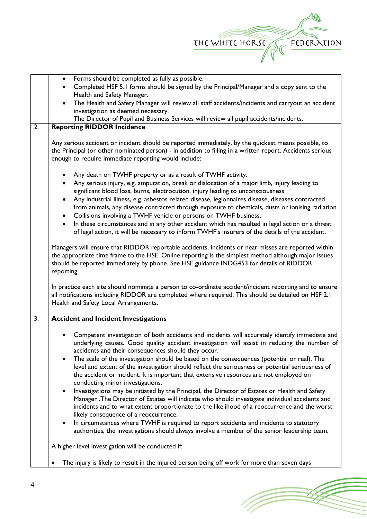

|                  | Forms should be completed as fully as possible.<br>$\bullet$                                                                                                                                                                                                                                                                               |  |  |
|------------------|--------------------------------------------------------------------------------------------------------------------------------------------------------------------------------------------------------------------------------------------------------------------------------------------------------------------------------------------|--|--|
|                  |                                                                                                                                                                                                                                                                                                                                            |  |  |
|                  | Completed HSF 5.1 forms should be signed by the Principal/Manager and a copy sent to the                                                                                                                                                                                                                                                   |  |  |
|                  | Health and Safety Manager.                                                                                                                                                                                                                                                                                                                 |  |  |
|                  | The Health and Safety Manager will review all staff accidents/incidents and carryout an accident<br>$\bullet$                                                                                                                                                                                                                              |  |  |
|                  | investigation as deemed necessary.                                                                                                                                                                                                                                                                                                         |  |  |
|                  | The Director of Pupil and Business Services will review all pupil accidents/incidents.                                                                                                                                                                                                                                                     |  |  |
| $\overline{2}$ . | <b>Reporting RIDDOR Incidence</b>                                                                                                                                                                                                                                                                                                          |  |  |
|                  | Any serious accident or incident should be reported immediately, by the quickest means possible, to<br>the Principal (or other nominated person) - in addition to filling in a written report. Accidents serious<br>enough to require immediate reporting would include:                                                                   |  |  |
|                  | Any death on TWHF property or as a result of TWHF activity.<br>Any serious injury, e.g. amputation, break or dislocation of a major limb, injury leading to                                                                                                                                                                                |  |  |
|                  | significant blood loss, burns, electrocution, injury leading to unconsciousness                                                                                                                                                                                                                                                            |  |  |
|                  | Any industrial illness, e.g. asbestos related disease, legionnaires disease, diseases contracted<br>$\bullet$<br>from animals, any disease contracted through exposure to chemicals, dusts or ionising radiation<br>Collisions involving a TWHF vehicle or persons on TWHF business.<br>$\bullet$                                          |  |  |
|                  | In these circumstances and in any other accident which has resulted in legal action or a threat<br>$\bullet$<br>of legal action, it will be necessary to inform TWHF's insurers of the details of the accident.                                                                                                                            |  |  |
|                  | Managers will ensure that RIDDOR reportable accidents, incidents or near misses are reported within<br>the appropriate time frame to the HSE. Online reporting is the simplest method although major issues<br>should be reported immediately by phone. See HSE guidance INDG453 for details of RIDDOR<br>reporting.                       |  |  |
|                  | In practice each site should nominate a person to co-ordinate accident/incident reporting and to ensure<br>all notifications including RIDDOR are completed where required. This should be detailed on HSF 2.1<br>Health and Safety Local Arrangements.                                                                                    |  |  |
| 3.               | <b>Accident and Incident Investigations</b>                                                                                                                                                                                                                                                                                                |  |  |
|                  | Competent investigation of both accidents and incidents will accurately identify immediate and<br>underlying causes. Good quality accident investigation will assist in reducing the number of<br>accidents and their consequences should they occur.                                                                                      |  |  |
|                  | The scale of the investigation should be based on the consequences (potential or real). The<br>$\bullet$<br>level and extent of the investigation should reflect the seriousness or potential seriousness of<br>the accident or incident. It is important that extensive resources are not employed on<br>conducting minor investigations. |  |  |
|                  | Investigations may be initiated by the Principal, the Director of Estates or Health and Safety<br>Manager .The Director of Estates will indicate who should investigate individual accidents and<br>incidents and to what extent proportionate to the likelihood of a reoccurrence and the worst<br>likely consequence of a reoccurrence.  |  |  |
|                  | In circumstances where TWHF is required to report accidents and incidents to statutory<br>authorities, the investigations should always involve a member of the senior leadership team.                                                                                                                                                    |  |  |
|                  | A higher level investigation will be conducted if:                                                                                                                                                                                                                                                                                         |  |  |
|                  | The injury is likely to result in the injured person being off work for more than seven days<br>٠                                                                                                                                                                                                                                          |  |  |

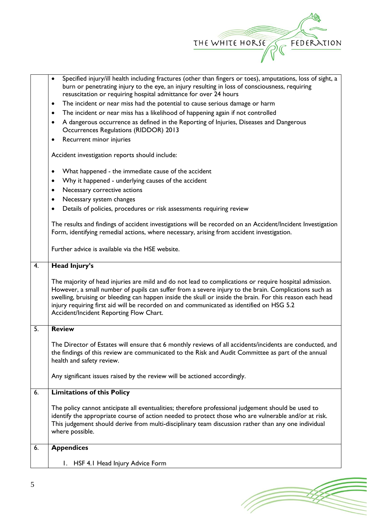

(Topon

|                                       | Specified injury/ill health including fractures (other than fingers or toes), amputations, loss of sight, a<br>$\bullet$<br>burn or penetrating injury to the eye, an injury resulting in loss of consciousness, requiring                                                                                                                                                                                                                                          |  |  |  |
|---------------------------------------|---------------------------------------------------------------------------------------------------------------------------------------------------------------------------------------------------------------------------------------------------------------------------------------------------------------------------------------------------------------------------------------------------------------------------------------------------------------------|--|--|--|
|                                       | resuscitation or requiring hospital admittance for over 24 hours                                                                                                                                                                                                                                                                                                                                                                                                    |  |  |  |
|                                       | The incident or near miss had the potential to cause serious damage or harm<br>$\bullet$                                                                                                                                                                                                                                                                                                                                                                            |  |  |  |
|                                       | The incident or near miss has a likelihood of happening again if not controlled<br>$\bullet$                                                                                                                                                                                                                                                                                                                                                                        |  |  |  |
|                                       | A dangerous occurrence as defined in the Reporting of Injuries, Diseases and Dangerous<br>$\bullet$<br>Occurrences Regulations (RIDDOR) 2013                                                                                                                                                                                                                                                                                                                        |  |  |  |
| Recurrent minor injuries<br>$\bullet$ |                                                                                                                                                                                                                                                                                                                                                                                                                                                                     |  |  |  |
|                                       | Accident investigation reports should include:                                                                                                                                                                                                                                                                                                                                                                                                                      |  |  |  |
|                                       | What happened - the immediate cause of the accident<br>$\bullet$                                                                                                                                                                                                                                                                                                                                                                                                    |  |  |  |
|                                       | Why it happened - underlying causes of the accident<br>$\bullet$                                                                                                                                                                                                                                                                                                                                                                                                    |  |  |  |
|                                       | Necessary corrective actions<br>$\bullet$                                                                                                                                                                                                                                                                                                                                                                                                                           |  |  |  |
|                                       | Necessary system changes<br>$\bullet$                                                                                                                                                                                                                                                                                                                                                                                                                               |  |  |  |
|                                       | Details of policies, procedures or risk assessments requiring review<br>$\bullet$                                                                                                                                                                                                                                                                                                                                                                                   |  |  |  |
|                                       | The results and findings of accident investigations will be recorded on an Accident/Incident Investigation<br>Form, identifying remedial actions, where necessary, arising from accident investigation.                                                                                                                                                                                                                                                             |  |  |  |
|                                       | Further advice is available via the HSE website.                                                                                                                                                                                                                                                                                                                                                                                                                    |  |  |  |
| 4.                                    | <b>Head Injury's</b>                                                                                                                                                                                                                                                                                                                                                                                                                                                |  |  |  |
|                                       | The majority of head injuries are mild and do not lead to complications or require hospital admission.<br>However, a small number of pupils can suffer from a severe injury to the brain. Complications such as<br>swelling, bruising or bleeding can happen inside the skull or inside the brain. For this reason each head<br>injury requiring first aid will be recorded on and communicated as identified on HSG 5.2<br>Accident/Incident Reporting Flow Chart. |  |  |  |
| $\overline{5}$ .                      | <b>Review</b>                                                                                                                                                                                                                                                                                                                                                                                                                                                       |  |  |  |
|                                       | The Director of Estates will ensure that 6 monthly reviews of all accidents/incidents are conducted, and<br>the findings of this review are communicated to the Risk and Audit Committee as part of the annual<br>health and safety review.                                                                                                                                                                                                                         |  |  |  |
|                                       | Any significant issues raised by the review will be actioned accordingly.                                                                                                                                                                                                                                                                                                                                                                                           |  |  |  |
| 6.                                    | <b>Limitations of this Policy</b>                                                                                                                                                                                                                                                                                                                                                                                                                                   |  |  |  |
|                                       | The policy cannot anticipate all eventualities; therefore professional judgement should be used to<br>identify the appropriate course of action needed to protect those who are vulnerable and/or at risk.<br>This judgement should derive from multi-disciplinary team discussion rather than any one individual<br>where possible.                                                                                                                                |  |  |  |
| $\overline{6}$ .                      | <b>Appendices</b>                                                                                                                                                                                                                                                                                                                                                                                                                                                   |  |  |  |
|                                       | I. HSF 4.1 Head Injury Advice Form                                                                                                                                                                                                                                                                                                                                                                                                                                  |  |  |  |